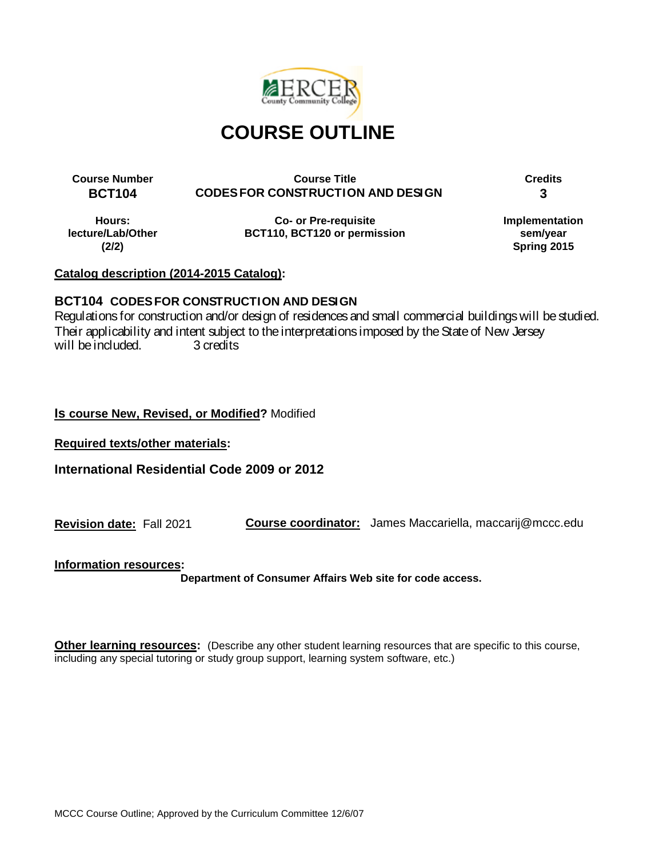

**Course Number Course Title Credits BCT104 CODES FOR CONSTRUCTION AND DESIGN 3**

**Hours: lecture/Lab/Other (2/2)**

**Co- or Pre-requisite BCT110, BCT120 or permission** **Implementation sem/year Spring 2015**

# **Catalog description (2014-2015 Catalog):**

# **BCT104 CODES FOR CONSTRUCTION AND DESIGN**

Regulations for construction and/or design of residences and small commercial buildings will be studied. Their applicability and intent subject to the interpretations imposed by the State of New Jersey<br>will be included. 3 credits will be included.

# **Is course New, Revised, or Modified?** Modified

**Required texts/other materials:**

**International Residential Code 2009 or 2012**

**Revision date:** Fall 2021 **Course coordinator:** James Maccariella, maccarij@mccc.edu

**Information resources:**

**Department of Consumer Affairs Web site for code access.**

**Other learning resources:** (Describe any other student learning resources that are specific to this course, including any special tutoring or study group support, learning system software, etc.)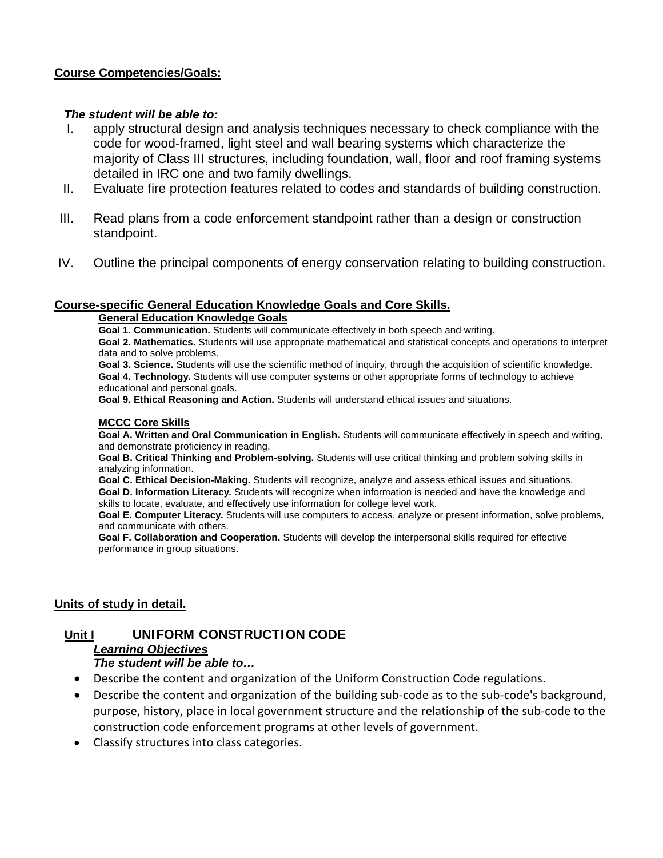### **Course Competencies/Goals:**

### *The student will be able to:*

- I. apply structural design and analysis techniques necessary to check compliance with the code for wood-framed, light steel and wall bearing systems which characterize the majority of Class III structures, including foundation, wall, floor and roof framing systems detailed in IRC one and two family dwellings.
- II. Evaluate fire protection features related to codes and standards of building construction.
- III. Read plans from a code enforcement standpoint rather than a design or construction standpoint.
- IV. Outline the principal components of energy conservation relating to building construction.

### **Course-specific General Education Knowledge Goals and Core Skills.**

#### **General Education Knowledge Goals**

**Goal 1. Communication.** Students will communicate effectively in both speech and writing. **Goal 2. Mathematics.** Students will use appropriate mathematical and statistical concepts and operations to interpret data and to solve problems.

**Goal 3. Science.** Students will use the scientific method of inquiry, through the acquisition of scientific knowledge. **Goal 4. Technology.** Students will use computer systems or other appropriate forms of technology to achieve educational and personal goals.

**Goal 9. Ethical Reasoning and Action.** Students will understand ethical issues and situations.

#### **MCCC Core Skills**

**Goal A. Written and Oral Communication in English.** Students will communicate effectively in speech and writing, and demonstrate proficiency in reading.

**Goal B. Critical Thinking and Problem-solving.** Students will use critical thinking and problem solving skills in analyzing information.

**Goal C. Ethical Decision-Making.** Students will recognize, analyze and assess ethical issues and situations. **Goal D. Information Literacy.** Students will recognize when information is needed and have the knowledge and skills to locate, evaluate, and effectively use information for college level work.

**Goal E. Computer Literacy.** Students will use computers to access, analyze or present information, solve problems, and communicate with others.

**Goal F. Collaboration and Cooperation.** Students will develop the interpersonal skills required for effective performance in group situations.

### **Units of study in detail.**

# **Unit I UNIFORM CONSTRUCTION CODE**

# *Learning Objectives*

# *The student will be able to…*

- Describe the content and organization of the Uniform Construction Code regulations.
- Describe the content and organization of the building sub-code as to the sub-code's background, purpose, history, place in local government structure and the relationship of the sub-code to the construction code enforcement programs at other levels of government.
- Classify structures into class categories.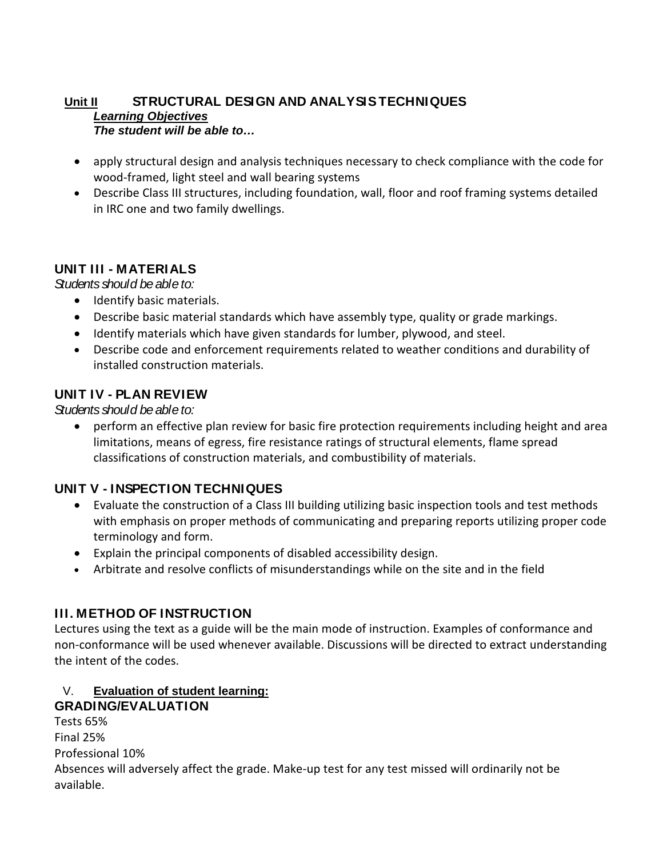### **Unit II STRUCTURAL DESIGN AND ANALYSIS TECHNIQUES** *Learning Objectives The student will be able to…*

- apply structural design and analysis techniques necessary to check compliance with the code for wood-framed, light steel and wall bearing systems
- Describe Class III structures, including foundation, wall, floor and roof framing systems detailed in IRC one and two family dwellings.

# **UNIT III - MATERIALS**

*Students should be able to:*

- Identify basic materials.
- Describe basic material standards which have assembly type, quality or grade markings.
- Identify materials which have given standards for lumber, plywood, and steel.
- Describe code and enforcement requirements related to weather conditions and durability of installed construction materials.

# **UNIT IV - PLAN REVIEW**

*Students should be able to:*

• perform an effective plan review for basic fire protection requirements including height and area limitations, means of egress, fire resistance ratings of structural elements, flame spread classifications of construction materials, and combustibility of materials.

# **UNIT V - INSPECTION TECHNIQUES**

- Evaluate the construction of a Class III building utilizing basic inspection tools and test methods with emphasis on proper methods of communicating and preparing reports utilizing proper code terminology and form.
- Explain the principal components of disabled accessibility design.
- Arbitrate and resolve conflicts of misunderstandings while on the site and in the field

# **III. METHOD OF INSTRUCTION**

Lectures using the text as a guide will be the main mode of instruction. Examples of conformance and non-conformance will be used whenever available. Discussions will be directed to extract understanding the intent of the codes.

### V. **Evaluation of student learning: GRADING/EVALUATION**

Tests 65% Final 25% Professional 10% Absences will adversely affect the grade. Make-up test for any test missed will ordinarily not be available.